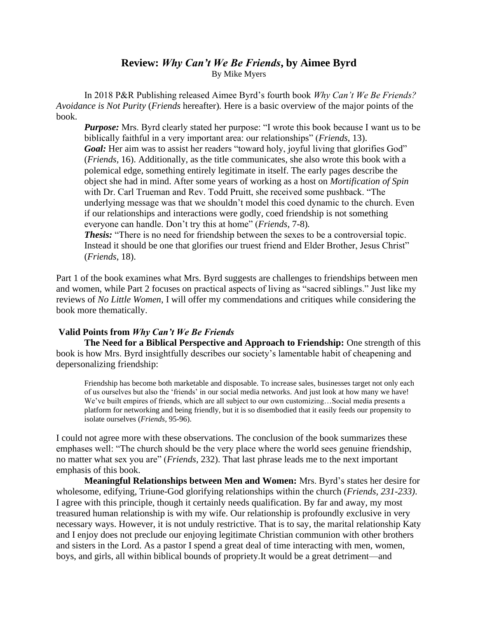## **Review:** *Why Can't We Be Friends***, by Aimee Byrd** By Mike Myers

In 2018 P&R Publishing released Aimee Byrd's fourth book *Why Can't We Be Friends? Avoidance is Not Purity* (*Friends* hereafter)*.* Here is a basic overview of the major points of the book.

*Purpose:* Mrs. Byrd clearly stated her purpose: "I wrote this book because I want us to be biblically faithful in a very important area: our relationships" (*Friends*, 13). Goal: Her aim was to assist her readers "toward holy, joyful living that glorifies God" (*Friends,* 16). Additionally, as the title communicates, she also wrote this book with a polemical edge, something entirely legitimate in itself. The early pages describe the object she had in mind. After some years of working as a host on *Mortification of Spin*  with Dr. Carl Trueman and Rev. Todd Pruitt, she received some pushback. "The underlying message was that we shouldn't model this coed dynamic to the church. Even if our relationships and interactions were godly, coed friendship is not something everyone can handle. Don't try this at home" (*Friends,* 7-8)*.* 

**Thesis:** "There is no need for friendship between the sexes to be a controversial topic. Instead it should be one that glorifies our truest friend and Elder Brother, Jesus Christ" (*Friends*, 18).

Part 1 of the book examines what Mrs. Byrd suggests are challenges to friendships between men and women, while Part 2 focuses on practical aspects of living as "sacred siblings." Just like my reviews of *No Little Women*, I will offer my commendations and critiques while considering the book more thematically.

## **Valid Points from** *Why Can't We Be Friends*

**The Need for a Biblical Perspective and Approach to Friendship:** One strength of this book is how Mrs. Byrd insightfully describes our society's lamentable habit of cheapening and depersonalizing friendship:

Friendship has become both marketable and disposable. To increase sales, businesses target not only each of us ourselves but also the 'friends' in our social media networks. And just look at how many we have! We've built empires of friends, which are all subject to our own customizing…Social media presents a platform for networking and being friendly, but it is so disembodied that it easily feeds our propensity to isolate ourselves (*Friends*, 95-96).

I could not agree more with these observations. The conclusion of the book summarizes these emphases well: "The church should be the very place where the world sees genuine friendship, no matter what sex you are" (*Friends*, 232). That last phrase leads me to the next important emphasis of this book.

**Meaningful Relationships between Men and Women:** Mrs. Byrd's states her desire for wholesome, edifying, Triune-God glorifying relationships within the church (*Friends, 231-233)*. I agree with this principle, though it certainly needs qualification. By far and away, my most treasured human relationship is with my wife. Our relationship is profoundly exclusive in very necessary ways. However, it is not unduly restrictive. That is to say, the marital relationship Katy and I enjoy does not preclude our enjoying legitimate Christian communion with other brothers and sisters in the Lord. As a pastor I spend a great deal of time interacting with men, women, boys, and girls, all within biblical bounds of propriety.It would be a great detriment—and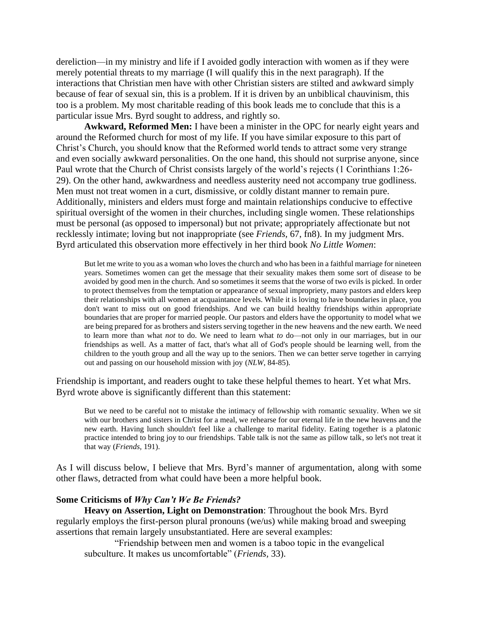dereliction—in my ministry and life if I avoided godly interaction with women as if they were merely potential threats to my marriage (I will qualify this in the next paragraph). If the interactions that Christian men have with other Christian sisters are stilted and awkward simply because of fear of sexual sin, this is a problem. If it is driven by an unbiblical chauvinism, this too is a problem. My most charitable reading of this book leads me to conclude that this is a particular issue Mrs. Byrd sought to address, and rightly so.

**Awkward, Reformed Men:** I have been a minister in the OPC for nearly eight years and around the Reformed church for most of my life. If you have similar exposure to this part of Christ's Church, you should know that the Reformed world tends to attract some very strange and even socially awkward personalities. On the one hand, this should not surprise anyone, since Paul wrote that the Church of Christ consists largely of the world's rejects (1 Corinthians 1:26- 29). On the other hand, awkwardness and needless austerity need not accompany true godliness. Men must not treat women in a curt, dismissive, or coldly distant manner to remain pure. Additionally, ministers and elders must forge and maintain relationships conducive to effective spiritual oversight of the women in their churches, including single women. These relationships must be personal (as opposed to impersonal) but not private; appropriately affectionate but not recklessly intimate; loving but not inappropriate (see *Friends,* 67, fn8). In my judgment Mrs. Byrd articulated this observation more effectively in her third book *No Little Women*:

But let me write to you as a woman who loves the church and who has been in a faithful marriage for nineteen years. Sometimes women can get the message that their sexuality makes them some sort of disease to be avoided by good men in the church. And so sometimes it seems that the worse of two evils is picked. In order to protect themselves from the temptation or appearance of sexual impropriety, many pastors and elders keep their relationships with all women at acquaintance levels. While it is loving to have boundaries in place, you don't want to miss out on good friendships. And we can build healthy friendships within appropriate boundaries that are proper for married people. Our pastors and elders have the opportunity to model what we are being prepared for as brothers and sisters serving together in the new heavens and the new earth. We need to learn more than what *not* to do. We need to learn what *to* do—not only in our marriages, but in our friendships as well. As a matter of fact, that's what all of God's people should be learning well, from the children to the youth group and all the way up to the seniors. Then we can better serve together in carrying out and passing on our household mission with joy (*NLW*, 84-85).

Friendship is important, and readers ought to take these helpful themes to heart. Yet what Mrs. Byrd wrote above is significantly different than this statement:

But we need to be careful not to mistake the intimacy of fellowship with romantic sexuality. When we sit with our brothers and sisters in Christ for a meal, we rehearse for our eternal life in the new heavens and the new earth. Having lunch shouldn't feel like a challenge to marital fidelity. Eating together is a platonic practice intended to bring joy to our friendships. Table talk is not the same as pillow talk, so let's not treat it that way (*Friends,* 191).

As I will discuss below, I believe that Mrs. Byrd's manner of argumentation, along with some other flaws, detracted from what could have been a more helpful book.

## **Some Criticisms of** *Why Can't We Be Friends?*

**Heavy on Assertion, Light on Demonstration**: Throughout the book Mrs. Byrd regularly employs the first-person plural pronouns (we/us) while making broad and sweeping assertions that remain largely unsubstantiated. Here are several examples:

"Friendship between men and women is a taboo topic in the evangelical subculture. It makes us uncomfortable" (*Friends,* 33).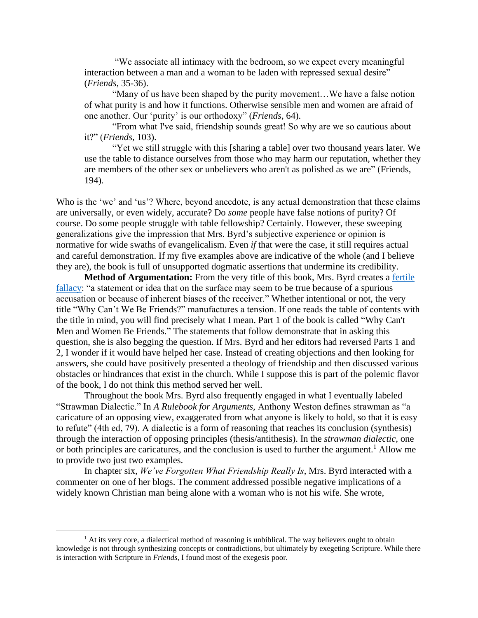"We associate all intimacy with the bedroom, so we expect every meaningful interaction between a man and a woman to be laden with repressed sexual desire" (*Friends,* 35-36).

"Many of us have been shaped by the purity movement…We have a false notion of what purity is and how it functions. Otherwise sensible men and women are afraid of one another. Our 'purity' is our orthodoxy" (*Friends*, 64).

"From what I've said, friendship sounds great! So why are we so cautious about it?" (*Friends*, 103).

"Yet we still struggle with this [sharing a table] over two thousand years later. We use the table to distance ourselves from those who may harm our reputation, whether they are members of the other sex or unbelievers who aren't as polished as we are" (Friends, 194).

Who is the 'we' and 'us'? Where, beyond anecdote, is any actual demonstration that these claims are universally, or even widely, accurate? Do *some* people have false notions of purity? Of course. Do some people struggle with table fellowship? Certainly. However, these sweeping generalizations give the impression that Mrs. Byrd's subjective experience or opinion is normative for wide swaths of evangelicalism. Even *if* that were the case, it still requires actual and careful demonstration. If my five examples above are indicative of the whole (and I believe they are), the book is full of unsupported dogmatic assertions that undermine its credibility.

**Method of Argumentation:** From the very title of this book, Mrs. Byrd creates a [fertile](https://sovereignnations.com/2017/11/17/fertile-fallacy-todays-phrase-need-know/)  [fallacy:](https://sovereignnations.com/2017/11/17/fertile-fallacy-todays-phrase-need-know/) "a statement or idea that on the surface may seem to be true because of a spurious accusation or because of inherent biases of the receiver." Whether intentional or not, the very title "Why Can't We Be Friends?" manufactures a tension. If one reads the table of contents with the title in mind, you will find precisely what I mean. Part 1 of the book is called "Why Can't Men and Women Be Friends." The statements that follow demonstrate that in asking this question, she is also begging the question. If Mrs. Byrd and her editors had reversed Parts 1 and 2, I wonder if it would have helped her case. Instead of creating objections and then looking for answers, she could have positively presented a theology of friendship and then discussed various obstacles or hindrances that exist in the church. While I suppose this is part of the polemic flavor of the book, I do not think this method served her well.

Throughout the book Mrs. Byrd also frequently engaged in what I eventually labeled "Strawman Dialectic." In *A Rulebook for Arguments,* Anthony Weston defines strawman as "a caricature of an opposing view, exaggerated from what anyone is likely to hold, so that it is easy to refute" (4th ed, 79). A dialectic is a form of reasoning that reaches its conclusion (synthesis) through the interaction of opposing principles (thesis/antithesis). In the *strawman dialectic,* one or both principles are caricatures, and the conclusion is used to further the argument.<sup>1</sup> Allow me to provide two just two examples.

In chapter six, *We've Forgotten What Friendship Really Is*, Mrs. Byrd interacted with a commenter on one of her blogs. The comment addressed possible negative implications of a widely known Christian man being alone with a woman who is not his wife. She wrote,

<sup>&</sup>lt;sup>1</sup> At its very core, a dialectical method of reasoning is unbiblical. The way believers ought to obtain knowledge is not through synthesizing concepts or contradictions, but ultimately by exegeting Scripture. While there is interaction with Scripture in *Friends*, I found most of the exegesis poor*.*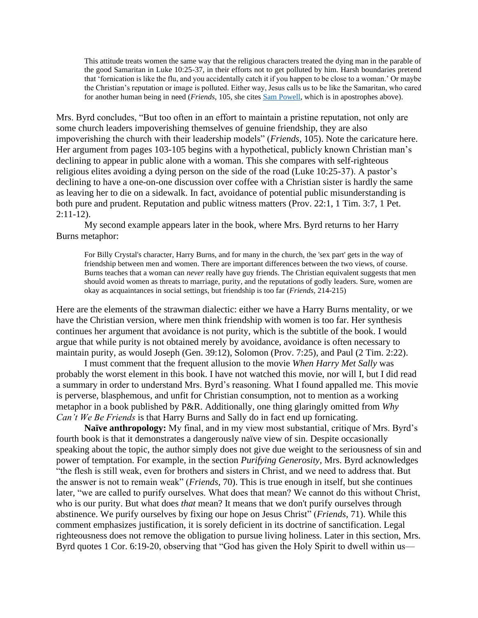This attitude treats women the same way that the religious characters treated the dying man in the parable of the good Samaritan in Luke 10:25-37, in their efforts not to get polluted by him. Harsh boundaries pretend that 'fornication is like the flu, and you accidentally catch it if you happen to be close to a woman.' Or maybe the Christian's reputation or image is polluted. Either way, Jesus calls us to be like the Samaritan, who cared for another human being in need (*Friends*, 105, she cites [Sam Powell,](https://myonlycomfort.com/2017/04/26/billy-graham-rule-followup/) which is in apostrophes above).

Mrs. Byrd concludes, "But too often in an effort to maintain a pristine reputation, not only are some church leaders impoverishing themselves of genuine friendship, they are also impoverishing the church with their leadership models" (*Friends,* 105). Note the caricature here. Her argument from pages 103-105 begins with a hypothetical, publicly known Christian man's declining to appear in public alone with a woman. This she compares with self-righteous religious elites avoiding a dying person on the side of the road (Luke 10:25-37). A pastor's declining to have a one-on-one discussion over coffee with a Christian sister is hardly the same as leaving her to die on a sidewalk. In fact, avoidance of potential public misunderstanding is both pure and prudent. Reputation and public witness matters (Prov. 22:1, 1 Tim. 3:7, 1 Pet. 2:11-12).

My second example appears later in the book, where Mrs. Byrd returns to her Harry Burns metaphor:

For Billy Crystal's character, Harry Burns, and for many in the church, the 'sex part' gets in the way of friendship between men and women. There are important differences between the two views, of course. Burns teaches that a woman can *never* really have guy friends. The Christian equivalent suggests that men should avoid women as threats to marriage, purity, and the reputations of godly leaders. Sure, women are okay as acquaintances in social settings, but friendship is too far (*Friends,* 214-215)

Here are the elements of the strawman dialectic: either we have a Harry Burns mentality, or we have the Christian version, where men think friendship with women is too far. Her synthesis continues her argument that avoidance is not purity, which is the subtitle of the book. I would argue that while purity is not obtained merely by avoidance, avoidance is often necessary to maintain purity, as would Joseph (Gen. 39:12), Solomon (Prov. 7:25), and Paul (2 Tim. 2:22).

I must comment that the frequent allusion to the movie *When Harry Met Sally* was probably the worst element in this book. I have not watched this movie, nor will I, but I did read a summary in order to understand Mrs. Byrd's reasoning. What I found appalled me. This movie is perverse, blasphemous, and unfit for Christian consumption, not to mention as a working metaphor in a book published by P&R. Additionally, one thing glaringly omitted from *Why Can't We Be Friends* is that Harry Burns and Sally do in fact end up fornicating.

**Naïve anthropology:** My final, and in my view most substantial, critique of Mrs. Byrd's fourth book is that it demonstrates a dangerously naïve view of sin. Despite occasionally speaking about the topic, the author simply does not give due weight to the seriousness of sin and power of temptation. For example, in the section *Purifying Generosity,* Mrs. Byrd acknowledges "the flesh is still weak, even for brothers and sisters in Christ, and we need to address that. But the answer is not to remain weak" (*Friends*, 70). This is true enough in itself, but she continues later, "we are called to purify ourselves. What does that mean? We cannot do this without Christ, who is our purity. But what does *that* mean? It means that we don't purify ourselves through abstinence. We purify ourselves by fixing our hope on Jesus Christ" (*Friends,* 71). While this comment emphasizes justification, it is sorely deficient in its doctrine of sanctification. Legal righteousness does not remove the obligation to pursue living holiness. Later in this section, Mrs. Byrd quotes 1 Cor. 6:19-20, observing that "God has given the Holy Spirit to dwell within us